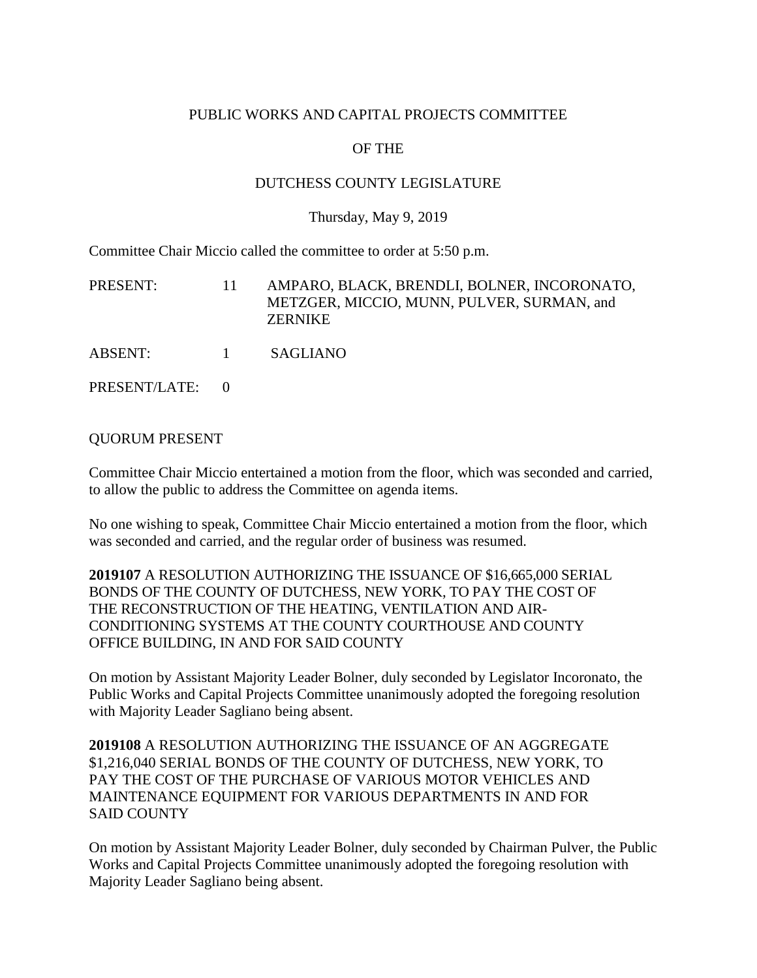## PUBLIC WORKS AND CAPITAL PROJECTS COMMITTEE

# OF THE

## DUTCHESS COUNTY LEGISLATURE

#### Thursday, May 9, 2019

Committee Chair Miccio called the committee to order at 5:50 p.m.

| PRESENT:      | 11.      | AMPARO, BLACK, BRENDLI, BOLNER, INCORONATO,<br>METZGER, MICCIO, MUNN, PULVER, SURMAN, and<br><b>ZERNIKE</b> |
|---------------|----------|-------------------------------------------------------------------------------------------------------------|
| ABSENT:       | $\sim$ 1 | SAGLIANO                                                                                                    |
| PRESENT/LATE: |          |                                                                                                             |

## QUORUM PRESENT

Committee Chair Miccio entertained a motion from the floor, which was seconded and carried, to allow the public to address the Committee on agenda items.

No one wishing to speak, Committee Chair Miccio entertained a motion from the floor, which was seconded and carried, and the regular order of business was resumed.

**2019107** A RESOLUTION AUTHORIZING THE ISSUANCE OF \$16,665,000 SERIAL BONDS OF THE COUNTY OF DUTCHESS, NEW YORK, TO PAY THE COST OF THE RECONSTRUCTION OF THE HEATING, VENTILATION AND AIR-CONDITIONING SYSTEMS AT THE COUNTY COURTHOUSE AND COUNTY OFFICE BUILDING, IN AND FOR SAID COUNTY

On motion by Assistant Majority Leader Bolner, duly seconded by Legislator Incoronato, the Public Works and Capital Projects Committee unanimously adopted the foregoing resolution with Majority Leader Sagliano being absent.

**2019108** A RESOLUTION AUTHORIZING THE ISSUANCE OF AN AGGREGATE \$1,216,040 SERIAL BONDS OF THE COUNTY OF DUTCHESS, NEW YORK, TO PAY THE COST OF THE PURCHASE OF VARIOUS MOTOR VEHICLES AND MAINTENANCE EQUIPMENT FOR VARIOUS DEPARTMENTS IN AND FOR SAID COUNTY

On motion by Assistant Majority Leader Bolner, duly seconded by Chairman Pulver, the Public Works and Capital Projects Committee unanimously adopted the foregoing resolution with Majority Leader Sagliano being absent.